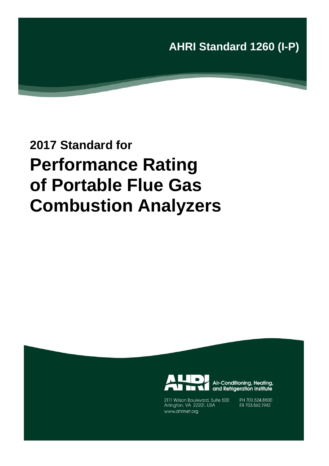**AHRI Standard 1260 (I-P)**

# **2017 Standard for Performance Rating of Portable Flue Gas Combustion Analyzers**



Air-Conditioning, Heating, and Refrigeration Institute

2111 Wilson Boulevard, Suite 500 Arlington, VA 22201, USA www.ahrinet.org

PH 703.524.8800 FX 703.562.1942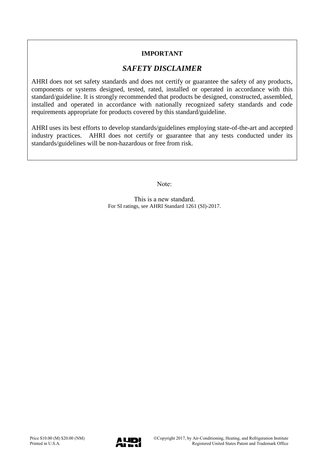### **IMPORTANT**

### *SAFETY DISCLAIMER*

AHRI does not set safety standards and does not certify or guarantee the safety of any products, components or systems designed, tested, rated, installed or operated in accordance with this standard/guideline. It is strongly recommended that products be designed, constructed, assembled, installed and operated in accordance with nationally recognized safety standards and code requirements appropriate for products covered by this standard/guideline.

AHRI uses its best efforts to develop standards/guidelines employing state-of-the-art and accepted industry practices. AHRI does not certify or guarantee that any tests conducted under its standards/guidelines will be non-hazardous or free from risk.

Note:

This is a new standard. For SI ratings, see AHRI Standard 1261 (SI)-2017.

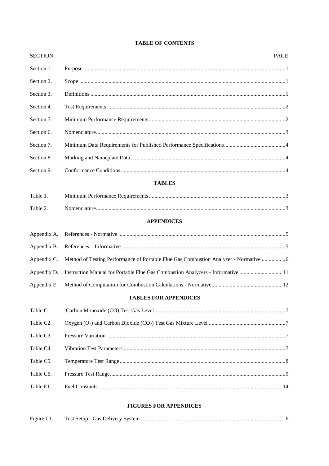| <b>SECTION</b> |                                                                                      | <b>PAGE</b> |
|----------------|--------------------------------------------------------------------------------------|-------------|
| Section 1.     |                                                                                      |             |
| Section 2.     |                                                                                      |             |
| Section 3.     |                                                                                      |             |
| Section 4.     |                                                                                      |             |
| Section 5.     |                                                                                      |             |
| Section 6.     |                                                                                      |             |
| Section 7.     |                                                                                      |             |
| Section 8      |                                                                                      |             |
| Section 9.     |                                                                                      |             |
|                | <b>TABLES</b>                                                                        |             |
| Table 1.       |                                                                                      |             |
| Table 2.       |                                                                                      |             |
|                | <b>APPENDICES</b>                                                                    |             |
| Appendix A.    |                                                                                      |             |
| Appendix B.    |                                                                                      |             |
| Appendix C.    | Method of Testing Performance of Portable Flue Gas Combustion Analyzer - Normative 6 |             |
| Appendix D.    | Instruction Manual for Portable Flue Gas Combustion Analyzers - Informative 11       |             |
| Appendix E.    |                                                                                      |             |
|                | <b>TABLES FOR APPENDICES</b>                                                         |             |
| Table C1.      |                                                                                      |             |
| Table C2.      |                                                                                      |             |
| Table C3.      |                                                                                      |             |
| Table C4.      |                                                                                      |             |
| Table C5.      |                                                                                      |             |
| Table C6.      |                                                                                      |             |
| Table E1.      |                                                                                      |             |
|                |                                                                                      |             |

#### **TABLE OF CONTENTS**

#### **FIGURES FOR APPENDICES**

| Figure C1. |  |
|------------|--|
|            |  |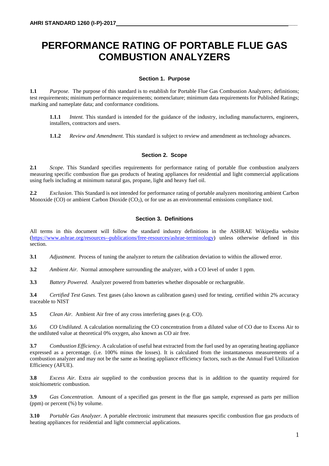## **PERFORMANCE RATING OF PORTABLE FLUE GAS COMBUSTION ANALYZERS**

#### **Section 1. Purpose**

**1.1** *Purpose.* The purpose of this standard is to establish for Portable Flue Gas Combustion Analyzers; definitions; test requirements; minimum performance requirements; nomenclature; minimum data requirements for Published Ratings; marking and nameplate data; and conformance conditions.

**1.1.1** *Intent.* This standard is intended for the guidance of the industry, including manufacturers, engineers, installers, contractors and users.

**1.1.2** *Review and Amendment.* This standard is subject to review and amendment as technology advances.

#### **Section 2. Scope**

**2.1** *Scope.* This Standard specifies requirements for performance rating of portable flue combustion analyzers measuring specific combustion flue gas products of heating appliances for residential and light commercial applications using fuels including at minimum natural gas, propane, light and heavy fuel oil.

**2.2** *Exclusion*. This Standard is not intended for performance rating of portable analyzers monitoring ambient Carbon Monoxide (CO) or ambient Carbon Dioxide (CO2), or for use as an environmental emissions compliance tool.

#### **Section 3. Definitions**

All terms in this document will follow the standard industry definitions in the ASHRAE Wikipedia website [\(https://www.ashrae.org/resources--publications/free-resources/ashrae-terminology\)](https://www.ashrae.org/resources--publications/free-resources/ashrae-terminology) unless otherwise defined in this section.

**3.1** *Adjustment.* Process of tuning the analyzer to return the calibration deviation to within the allowed error.

**3.2** *Ambient Air.* Normal atmosphere surrounding the analyzer, with a CO level of under 1 ppm.

**3.3** *Battery Powered.* Analyzer powered from batteries whether disposable or rechargeable.

**3.4** *Certified Test Gases.* Test gases (also known as calibration gases) used for testing, certified within 2% accuracy traceable to NIST

**3.5** *Clean Air.* Ambient Air free of any cross interfering gases (e.g. CO).

**3.**6 *CO Undiluted*. A calculation normalizing the CO concentration from a diluted value of CO due to Excess Air to the undiluted value at theoretical 0% oxygen, also known as CO air free.

**3.7** *Combustion Efficiency*. A calculation of useful heat extracted from the fuel used by an operating heating appliance expressed as a percentage. (i.e. 100% minus the losses). It is calculated from the instantaneous measurements of a combustion analyzer and may not be the same as heating appliance efficiency factors, such as the Annual Fuel Utilization Efficiency (AFUE).

**3.8** *Excess Air.* Extra air supplied to the combustion process that is in addition to the quantity required for stoichiometric combustion.

**3.9** *Gas Concentration.* Amount of a specified gas present in the flue gas sample, expressed as parts per million (ppm) or percent (%) by volume.

**3.10** *Portable Gas Analyzer.* A portable electronic instrument that measures specific combustion flue gas products of heating appliances for residential and light commercial applications.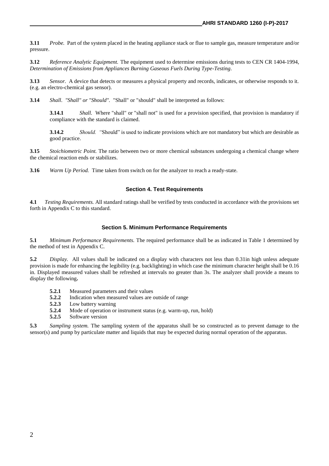**3.11** *Probe.* Part of the system placed in the heating appliance stack or flue to sample gas, measure temperature and/or pressure.

**3.12** *Reference Analytic Equipment.* The equipment used to determine emissions during tests to CEN CR 1404-1994, *Determination of Emissions from Appliances Burning Gaseous Fuels During Type-Testing*.

**3.13** *Sensor.* A device that detects or measures a physical property and records, indicates, or otherwise responds to it. (e.g. an electro-chemical gas sensor).

**3.14** *Shall*. *"Shall" or "Should".* "Shall" or "should" shall be interpreted as follows:

**3.14.1** *Shall.* Where "shall" or "shall not" is used for a provision specified, that provision is mandatory if compliance with the standard is claimed.

**3.14.2** *Should. "*Should" is used to indicate provisions which are not mandatory but which are desirable as good practice.

**3.15** *Stoichiometric Point.* The ratio between two or more chemical substances undergoing a chemical change where the chemical reaction ends or stabilizes.

**3.16** *Warm Up Period.* Time taken from switch on for the analyzer to reach a ready-state.

#### **Section 4. Test Requirements**

**4.1** *Testing Requirements.* All standard ratings shall be verified by tests conducted in accordance with the provisions set forth in Appendix C to this standard.

#### **Section 5. Minimum Performance Requirements**

**5.1** *Minimum Performance Requirements.* The required performance shall be as indicated in Table 1 determined by the method of test in Appendix C.

**5.2** *Display.*All values shall be indicated on a display with characters not less than 0.31in high unless adequate provision is made for enhancing the legibility (e.g. backlighting) in which case the minimum character height shall be 0.16 in. Displayed measured values shall be refreshed at intervals no greater than 3s. The analyzer shall provide a means to display the following**.**

- **5.2.1** Measured parameters and their values
- **5.2.2** Indication when measured values are outside of range
- **5.2.3** Low battery warning
- **5.2.4** Mode of operation or instrument status (e.g. warm-up, run, hold)
- **5.2.5** Software version

**5.3** *Sampling system.* The sampling system of the apparatus shall be so constructed as to prevent damage to the sensor(s) and pump by particulate matter and liquids that may be expected during normal operation of the apparatus.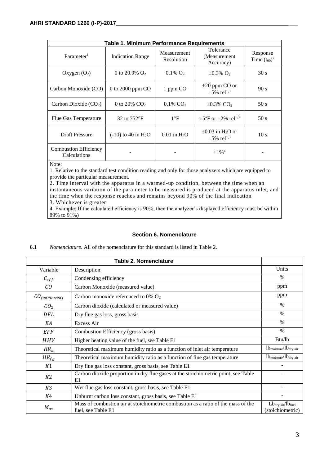| <b>Table 1. Minimum Performance Requirements</b> |                                   |                           |                                                                   |                               |  |  |
|--------------------------------------------------|-----------------------------------|---------------------------|-------------------------------------------------------------------|-------------------------------|--|--|
| Parameter <sup>1</sup>                           | <b>Indication Range</b>           | Measurement<br>Resolution | Tolerance<br>(Measurement)<br>Accuracy)                           | Response<br>Time $(t_{90})^2$ |  |  |
| Oxygen $(O_2)$                                   | 0 to 20.9% $O_2$                  | $0.1\%$ O <sub>2</sub>    | $\pm 0.3\%$ O <sub>2</sub>                                        | 30 s                          |  |  |
| Carbon Monoxide (CO)                             | 0 to 2000 ppm CO                  | 1 ppm CO                  | $\pm 20$ ppm CO or<br>$\pm 5\%$ rel <sup>1,3</sup>                | 90 s                          |  |  |
| Carbon Dioxide $(CO2)$                           | 0 to 20% $CO2$                    | $0.1\%$ CO <sub>2</sub>   | $\pm 0.3\%$ CO <sub>2</sub>                                       | 50 s                          |  |  |
| Flue Gas Temperature                             | 32 to 752°F                       | $1^{\circ}F$              | $\pm 5^{\circ}$ F or $\pm 2\%$ rel <sup>1,3</sup>                 | 50 s                          |  |  |
| <b>Draft Pressure</b>                            | $(-10)$ to 40 in H <sub>2</sub> O | $0.01$ in $H2O$           | $\pm 0.03$ in H <sub>2</sub> O or<br>$\pm 5\%$ rel <sup>1,3</sup> | 10 <sub>s</sub>               |  |  |
| <b>Combustion Efficiency</b><br>Calculations     |                                   |                           | $\pm 1\%$ <sup>4</sup>                                            |                               |  |  |

Note:

1. Relative to the standard test condition reading and only for those analyzers which are equipped to provide the particular measurement.

2. Time interval with the apparatus in a warmed-up condition, between the time when an instantaneous variation of the parameter to be measured is produced at the apparatus inlet, and the time when the response reaches and remains beyond 90% of the final indication 3. Whichever is greater

4. Example: If the calculated efficiency is 90%, then the analyzer's displayed efficiency must be within 89% to 91%)

#### **Section 6. Nomenclature**

#### **6.1** *Nomenclature*. All of the nomenclature for this standard is listed in Table 2.

|                    | Table 2. Nomenclature                                                                                   |                                                            |
|--------------------|---------------------------------------------------------------------------------------------------------|------------------------------------------------------------|
| Variable           | Description                                                                                             | Units                                                      |
| $C_{eff}$          | Condensing efficiency                                                                                   | $\%$                                                       |
| CO                 | Carbon Monoxide (measured value)                                                                        | ppm                                                        |
| $CO_{(undiluted)}$ | Carbon monoxide referenced to $0\%$ O <sub>2</sub>                                                      | ppm                                                        |
| CO <sub>2</sub>    | Carbon dioxide (calculated or measured value)                                                           | $\frac{0}{0}$                                              |
| DFL                | Dry flue gas loss, gross basis                                                                          | $\frac{0}{0}$                                              |
| EΑ                 | Excess Air                                                                                              | $\%$                                                       |
| EFF                | Combustion Efficiency (gross basis)                                                                     | $\%$                                                       |
| <b>HHV</b>         | Higher heating value of the fuel, see Table E1                                                          | Btu/lb                                                     |
| $HR_a$             | Theoretical maximum humidity ratio as a function of inlet air temperature                               | $lb_{\text{moisture}}/lb_{\text{dry air}}$                 |
| $HR_{fg}$          | Theoretical maximum humidity ratio as a function of flue gas temperature                                | $lb_{\text{moisture}}/lb_{\text{dry air}}$                 |
| K1                 | Dry flue gas loss constant, gross basis, see Table E1                                                   |                                                            |
| K <sub>2</sub>     | Carbon dioxide proportion in dry flue gases at the stoichiometric point, see Table<br>E1                |                                                            |
| K3                 | Wet flue gas loss constant, gross basis, see Table E1                                                   |                                                            |
| K4                 | Unburnt carbon loss constant, gross basis, see Table E1                                                 |                                                            |
| $M_{as}$           | Mass of combustion air at stoichiometric combustion as a ratio of the mass of the<br>fuel, see Table E1 | $Lb_{\text{dry air}}/lb_{\text{fuel}}$<br>(stoichiometric) |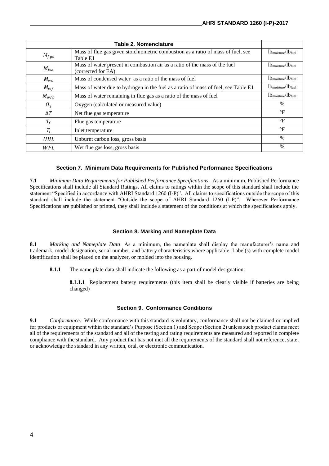|                | <b>Table 2. Nomenclature</b>                                                                     |                                         |
|----------------|--------------------------------------------------------------------------------------------------|-----------------------------------------|
| $M_{fgs}$      | Mass of flue gas given stoichiometric combustion as a ratio of mass of fuel, see<br>Table E1     | $lb_{\text{moisture}}/lb_{\text{fuel}}$ |
| $M_{wa}$       | Mass of water present in combustion air as a ratio of the mass of the fuel<br>(corrected for EA) | $lb_{\text{moisture}}/lb_{\text{fuel}}$ |
| $M_{wc}$       | Mass of condensed water as a ratio of the mass of fuel                                           | $lb_{\text{moisture}}/lb_{\text{fuel}}$ |
| $M_{wf}$       | Mass of water due to hydrogen in the fuel as a ratio of mass of fuel, see Table E1               | $lb_{\text{moisture}}/lb_{\text{fuel}}$ |
| $M_{wfg}$      | Mass of water remaining in flue gas as a ratio of the mass of fuel                               | $lb_{\text{moisture}}/lb_{\text{fuel}}$ |
| O <sub>2</sub> | Oxygen (calculated or measured value)                                                            | $\%$                                    |
| $\Delta T$     | Net flue gas temperature                                                                         | $\rm ^{\circ}F$                         |
| $T_f$          | Flue gas temperature                                                                             | $\rm ^{\circ}F$                         |
| $T_i$          | Inlet temperature                                                                                | $\rm ^{\circ}F$                         |
| <b>UBL</b>     | Unburnt carbon loss, gross basis                                                                 | $\frac{0}{0}$                           |
| WFL            | Wet flue gas loss, gross basis                                                                   | $\%$                                    |

#### **Section 7. Minimum Data Requirements for Published Performance Specifications**

**7.1** *Minimum Data Requirements for Published Performance Specifications.* As a minimum, Published Performance Specifications shall include all Standard Ratings. All claims to ratings within the scope of this standard shall include the statement "Specified in accordance with AHRI Standard 1260 (I-P)". All claims to specifications outside the scope of this standard shall include the statement "Outside the scope of AHRI Standard 1260 (I-P)". Wherever Performance Specifications are published or printed, they shall include a statement of the conditions at which the specifications apply.

#### **Section 8. Marking and Nameplate Data**

**8.1** *Marking and Nameplate Data*. As a minimum, the nameplate shall display the manufacturer's name and trademark, model designation, serial number, and battery characteristics where applicable. Label(s) with complete model identification shall be placed on the analyzer, or molded into the housing.

**8.1.1** The name plate data shall indicate the following as a part of model designation:

**8.1.1.1** Replacement battery requirements (this item shall be clearly visible if batteries are being changed)

#### **Section 9. Conformance Conditions**

**9.1** *Conformance.* While conformance with this standard is voluntary, conformance shall not be claimed or implied for products or equipment within the standard's Purpose (Section 1) and Scope (Section 2) unless such product claims meet all of the requirements of the standard and all of the testing and rating requirements are measured and reported in complete compliance with the standard. Any product that has not met all the requirements of the standard shall not reference, state, or acknowledge the standard in any written, oral, or electronic communication.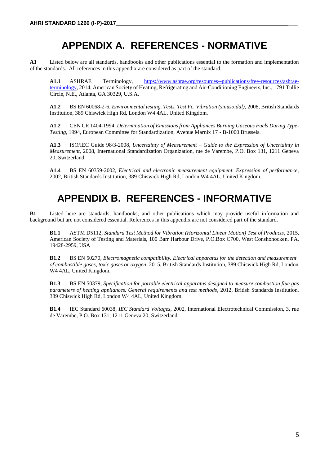## **APPENDIX A. REFERENCES - NORMATIVE**

**A1** Listed below are all standards, handbooks and other publications essential to the formation and implementation of the standards. All references in this appendix are considered as part of the standard.

**A1.1** ASHRAE Terminology, [https://www.ashrae.org/resources--publications/free-resources/ashrae](https://www.ashrae.org/resources--publications/free-resources/ashrae-terminology)[terminology,](https://www.ashrae.org/resources--publications/free-resources/ashrae-terminology) 2014, American Society of Heating, Refrigerating and Air-Conditioning Engineers, Inc., 1791 Tullie Circle, N.E., Atlanta, GA 30329, U.S.A**.**

**A1.2** BS EN 60068-2-6, *Environmental testing. Tests. Test Fc. Vibration (sinusoidal)*, 2008, British Standards Institution, 389 Chiswick High Rd, London W4 4AL, United Kingdom.

**A1.2** CEN CR 1404-1994, *Determination of Emissions from Appliances Burning Gaseous Fuels During Type-Testing*, 1994, European Committee for Standardization, Avenue Marnix 17 - B-1000 Brussels.

**A1.3** ISO/IEC Guide 98/3-2008, *Uncertainty of Measurement – Guide to the Expression of Uncertainty in Measurement*, 2008, International Standardization Organization, rue de Varembe, P.O. Box 131, 1211 Geneva 20, Switzerland.

**A1.4** BS EN 60359-2002, *Electrical and electronic measurement equipment. Expression of performance,*  2002, British Standards Institution, 389 Chiswick High Rd, London W4 4AL, United Kingdom.

### **APPENDIX B. REFERENCES - INFORMATIVE**

**B1** Listed here are standards, handbooks, and other publications which may provide useful information and background but are not considered essential. References in this appendix are not considered part of the standard.

**B1.1** ASTM D5112, *Standard Test Method for Vibration (Horizontal Linear Motion) Test of Products*, 2015, American Society of Testing and Materials, 100 Barr Harbour Drive, P.O.Box C700, West Conshohocken, PA, 19428-2959, USA

**B1.2** BS EN 50270, *Electromagnetic compatibility. Electrical apparatus for the detection and measurement of combustible gases, toxic gases or oxygen*, 2015, British Standards Institution, 389 Chiswick High Rd, London W4 4AL, United Kingdom.

**B1.3** BS EN 50379, *Specification for portable electrical apparatus designed to measure combustion flue gas parameters of heating appliances. General requirements and test methods*, 2012, British Standards Institution, 389 Chiswick High Rd, London W4 4AL, United Kingdom.

**B1.4** IEC Standard 60038, *IEC Standard Voltages*, 2002, International Electrotechnical Commission, 3, rue de Varembe, P.O. Box 131, 1211 Geneva 20, Switzerland.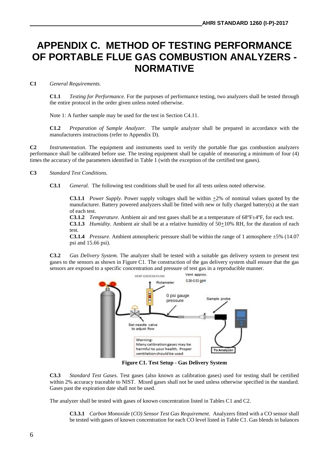### **APPENDIX C. METHOD OF TESTING PERFORMANCE OF PORTABLE FLUE GAS COMBUSTION ANALYZERS - NORMATIVE**

#### **C1** *General Requirements.*

**C1.1** *Testing for Performance.* For the purposes of performance testing, two analyzers shall be tested through the entire protocol in the order given unless noted otherwise.

Note 1: A further sample may be used for the test in Section C4.11.

**C1.2** *Preparation of Sample Analyzer.* The sample analyzer shall be prepared in accordance with the manufacturers instructions (refer to Appendix D).

**C2** *Instrumentation*. The equipment and instruments used to verify the portable flue gas combustion analyzers performance shall be calibrated before use. The testing equipment shall be capable of measuring a minimum of four (4) times the accuracy of the parameters identified in Table 1 (with the exception of the certified test gases).

#### **C3** *Standard Test Conditions.*

**C3.1** *General.* The following test conditions shall be used for all tests unless noted otherwise.

**C3.1.1** *Power Supply.* Power supply voltages shall be within +2% of nominal values quoted by the manufacturer. Battery powered analyzers shall be fitted with new or fully charged battery(s) at the start of each test.

**C3.1.2** *Temperature.* Ambient air and test gases shall be at a temperature of 68ºF±4ºF, for each test.

**C3.1.3** *Humidity.* Ambient air shall be at a relative humidity of 50+10% RH, for the duration of each test.

**C3.1.4** *Pressure.* Ambient atmospheric pressure shall be within the range of 1 atmosphere  $\pm$ 5% (14.07) psi and 15.66 psi).

**C3.2** *Gas Delivery System.* The analyzer shall be tested with a suitable gas delivery system to present test gases to the sensors as shown in Figure C1. The construction of the gas delivery system shall ensure that the gas sensors are exposed to a specific concentration and pressure of test gas in a reproducible manner.



**Figure C1. Test Setup - Gas Delivery System**

**C3.3** *Standard Test Gases.* Test gases (also known as calibration gases) used for testing shall be certified within 2% accuracy traceable to NIST. Mixed gases shall not be used unless otherwise specified in the standard. Gases past the expiration date shall not be used.

The analyzer shall be tested with gases of known concentration listed in Tables C1 and C2.

**C3.3.1** *Carbon Monoxide* (*CO) Sensor Test Gas Requirement.* Analyzers fitted with a CO sensor shall be tested with gases of known concentration for each CO level listed in Table C1. Gas blends in balances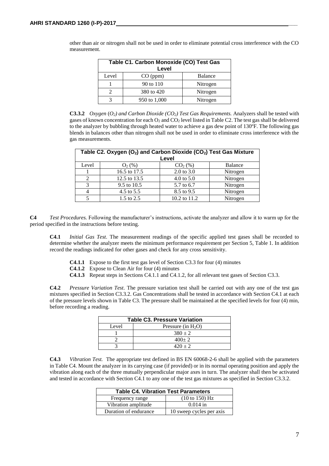| Table C1. Carbon Monoxide (CO) Test Gas<br>Level |              |          |  |  |
|--------------------------------------------------|--------------|----------|--|--|
| Level                                            | CO (ppm)     | Balance  |  |  |
|                                                  | 90 to 110    | Nitrogen |  |  |
|                                                  | 380 to 420   | Nitrogen |  |  |
|                                                  | 950 to 1,000 | Nitrogen |  |  |

other than air or nitrogen shall not be used in order to eliminate potential cross interference with the CO measurement.

**C3.3.2** *Oxygen* (*O2) and Carbon Dioxide (CO2) Test Gas Requirements.* Analyzers shall be tested with gases of known concentration for each  $O_2$  and  $CO_2$  level listed in Table C2. The test gas shall be delivered to the analyzer by bubbling through heated water to achieve a gas dew point of 130ºF. The following gas blends in balances other than nitrogen shall not be used in order to eliminate cross interference with the gas measurements.

| Table C2. Oxygen (O <sub>2</sub> ) and Carbon Dioxide (CO <sub>2</sub> ) Test Gas Mixture<br>Level |                       |                       |          |  |  |
|----------------------------------------------------------------------------------------------------|-----------------------|-----------------------|----------|--|--|
| Level                                                                                              | $O_2(\%)$             | $CO2(\%)$             | Balance  |  |  |
|                                                                                                    | 16.5 to 17.5          | $2.0 \text{ to } 3.0$ | Nitrogen |  |  |
|                                                                                                    | 12.5 to 13.5          | 4.0 to $5.0$          | Nitrogen |  |  |
| 3                                                                                                  | 9.5 to 10.5           | 5.7 to 6.7            | Nitrogen |  |  |
|                                                                                                    | 4.5 to 5.5            | 8.5 to 9.5            | Nitrogen |  |  |
|                                                                                                    | $1.5 \text{ to } 2.5$ | 10.2 to 11.2          | Nitrogen |  |  |

**C4** *Test Procedures.* Following the manufacturer's instructions, activate the analyzer and allow it to warm up for the period specified in the instructions before testing.

**C4.1** *Initial Gas Test*. The measurement readings of the specific applied test gases shall be recorded to determine whether the analyzer meets the minimum performance requirement per Section 5, Table 1. In addition record the readings indicated for other gases and check for any cross sensitivity.

- **C4.1.1** Expose to the first test gas level of Section C3.3 for four (4) minutes
- **C4.1.2** Expose to Clean Air for four (4) minutes
- **C4.1.3** Repeat steps in Sections C4.1.1 and C4.1.2, for all relevant test gases of Section C3.3.

**C4.2** *Pressure Variation Test*. The pressure variation test shall be carried out with any one of the test gas mixtures specified in Section C3.3.2. Gas Concentrations shall be tested in accordance with Section C4.1 at each of the pressure levels shown in Table C3. The pressure shall be maintained at the specified levels for four (4) min, before recording a reading.

| <b>Table C3. Pressure Variation</b> |  |  |  |
|-------------------------------------|--|--|--|
| Pressure (in $H_2O$ )               |  |  |  |
| $380 \pm 2$                         |  |  |  |
| $400+2$                             |  |  |  |
| $420 + 2$                           |  |  |  |
|                                     |  |  |  |

**C4.3** *Vibration Test.* The appropriate test defined in BS EN 60068-2-6 shall be applied with the parameters in Table C4. Mount the analyzer in its carrying case (if provided) or in its normal operating position and apply the vibration along each of the three mutually perpendicular major axes in turn. The analyzer shall then be activated and tested in accordance with Section C4.1 to any one of the test gas mixtures as specified in Section C3.3.2.

| <b>Table C4. Vibration Test Parameters</b> |                           |  |  |  |
|--------------------------------------------|---------------------------|--|--|--|
| Frequency range                            | $(10 \text{ to } 150)$ Hz |  |  |  |
| Vibration amplitude                        | $0.014$ in                |  |  |  |
| Duration of endurance                      | 10 sweep cycles per axis  |  |  |  |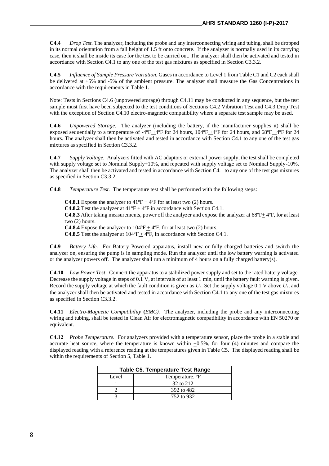**C4.4** *Drop Test.* The analyzer, including the probe and any interconnecting wiring and tubing, shall be dropped in its normal orientation from a fall height of 1.5 ft onto concrete. If the analyzer is normally used in its carrying case, then it shall be inside its case for the test to be carried out. The analyzer shall then be activated and tested in accordance with Section C4.1 to any one of the test gas mixtures as specified in Section C3.3.2.

**C4.5** *Influence of Sample Pressure Variation.* Gases in accordance to Level 1 from Table C1 and C2 each shall be delivered at +5% and -5% of the ambient pressure. The analyzer shall measure the Gas Concentrations in accordance with the requirements in Table 1.

Note: Tests in Sections C4.6 (unpowered storage) through C4.11 may be conducted in any sequence, but the test sample must first have been subjected to the test conditions of Sections C4.2 Vibration Test and C4.3 Drop Test with the exception of Section C4.10 electro-magnetic compatibility where a separate test sample may be used.

**C4.6** *Unpowered Storage.* The analyzer (including the battery, if the manufacturer supplies it) shall be exposed sequentially to a temperature of  $-4^{\circ}F +4^{\circ}F$  for 24 hours,  $104^{\circ}F +4^{\circ}F$  for 24 hours, and  $68^{\circ}F +4^{\circ}F$  for 24 hours. The analyzer shall then be activated and tested in accordance with Section C4.1 to any one of the test gas mixtures as specified in Section C3.3.2.

**C4.7** *Supply Voltage.* Analyzers fitted with AC adaptors or external power supply, the test shall be completed with supply voltage set to Nominal Supply+10%, and repeated with supply voltage set to Nominal Supply-10%. The analyzer shall then be activated and tested in accordance with Section C4.1 to any one of the test gas mixtures as specified in Section C3.3.2

**C4.8** *Temperature Test.* The temperature test shall be performed with the following steps:

**C4.8.1** Expose the analyzer to  $41^{\circ}F + 4^{\circ}F$  for at least two (2) hours. **C4.8.2** Test the analyzer at  $41^{\circ}F + 4^{\circ}F$  in accordance with Section C4.1. **C4.8.3** After taking measurements, power off the analyzer and expose the analyzer at 68°F $\pm$  4°F, for at least two (2) hours. **C4.8.4** Expose the analyzer to  $104^{\circ}F + 4^{\circ}F$ , for at least two (2) hours. **C4.8.5** Test the analyzer at  $104^{\circ}F + 4^{\circ}F$ , in accordance with Section C4.1.

**C4.9** *Battery Life.* For Battery Powered apparatus, install new or fully charged batteries and switch the analyzer on, ensuring the pump is in sampling mode. Run the analyzer until the low battery warning is activated or the analyzer powers off. The analyzer shall run a minimum of 4 hours on a fully charged battery(s).

**C4.10** *Low Power Test*. Connect the apparatus to a stabilized power supply and set to the rated battery voltage. Decrease the supply voltage in steps of 0.1 V, at intervals of at least 1 min, until the battery fault warning is given. Record the supply voltage at which the fault condition is given as *U*e. Set the supply voltage 0.1 V above *U*e, and the analyzer shall then be activated and tested in accordance with Section C4.1 to any one of the test gas mixtures as specified in Section C3.3.2.

**C4.11** *Electro-Magnetic Compatibility* **(***EMC).* The analyzer, including the probe and any interconnecting wiring and tubing, shall be tested in Clean Air for electromagnetic compatibility in accordance with EN 50270 or equivalent.

**C4.12** *Probe Temperature.*For analyzers provided with a temperature sensor, place the probe in a stable and accurate heat source, where the temperature is known within  $\pm 0.5$ %, for four (4) minutes and compare the displayed reading with a reference reading at the temperatures given in Table C5. The displayed reading shall be within the requirements of Section 5, Table 1.

| <b>Table C5. Temperature Test Range</b> |                             |  |  |
|-----------------------------------------|-----------------------------|--|--|
| Level                                   | Temperature, <sup>o</sup> F |  |  |
|                                         | 32 to 212                   |  |  |
|                                         | 392 to 482                  |  |  |
|                                         | 752 to 932                  |  |  |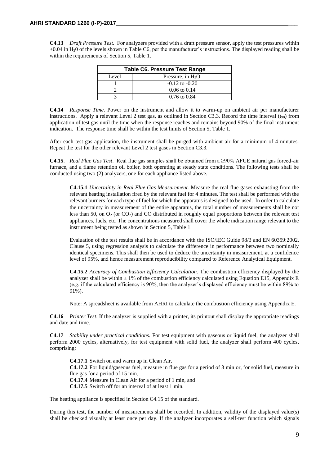**C4.13** *Draft Pressure Test.*For analyzers provided with a draft pressure sensor, apply the test pressures within **+**0.04 in H20 of the levels shown in Table C6, per the manufacturer's instructions. The displayed reading shall be within the requirements of Section 5, Table 1.

| <b>Table C6. Pressure Test Range</b> |                         |  |  |
|--------------------------------------|-------------------------|--|--|
| Level                                | Pressure, in $H_2O$     |  |  |
|                                      | $-0.12$ to $-0.20$      |  |  |
|                                      | $0.06 \text{ to } 0.14$ |  |  |
|                                      | $0.76$ to $0.84$        |  |  |

**C4.14** *Response Time*. Power on the instrument and allow it to warm-up on ambient air per manufacturer instructions. Apply a relevant Level 2 test gas, as outlined in Section C3.3. Record the time interval  $(t_{90})$  from application of test gas until the time when the response reaches and remains beyond 90% of the final instrument indication. The response time shall be within the test limits of Section 5, Table 1.

After each test gas application, the instrument shall be purged with ambient air for a minimum of 4 minutes. Repeat the test for the other relevant Level 2 test gases in Section C3.3.

**C4.15**. *Real Flue Gas Test*. Real flue gas samples shall be obtained from a ≥90% AFUE natural gas forced-air furnace, and a flame retention oil boiler, both operating at steady state conditions. The following tests shall be conducted using two (2) analyzers, one for each appliance listed above.

**C4.15.1** *Uncertainty in Real Flue Gas Measurement.* Measure the real flue gases exhausting from the relevant heating installation fired by the relevant fuel for 4 minutes. The test shall be performed with the relevant burners for each type of fuel for which the apparatus is designed to be used. In order to calculate the uncertainty in measurement of the entire apparatus, the total number of measurements shall be not less than 50, on  $O_2$  (or  $CO_2$ ) and CO distributed in roughly equal proportions between the relevant test appliances, fuels, etc. The concentrations measured shall cover the whole indication range relevant to the instrument being tested as shown in Section 5, Table 1.

Evaluation of the test results shall be in accordance with the ISO/IEC Guide 98/3 and EN 60359:2002, Clause 5, using regression analysis to calculate the difference in performance between two nominally identical specimens. This shall then be used to deduce the uncertainty in measurement, at a confidence level of 95%, and hence measurement reproducibility compared to Reference Analytical Equipment.

**C4.15.2** *Accuracy of Combustion Efficiency Calculation*. The combustion efficiency displayed by the analyzer shall be within  $\pm 1\%$  of the combustion efficiency calculated using Equation E15, Appendix E (e.g. if the calculated efficiency is 90%, then the analyzer's displayed efficiency must be within 89% to 91%).

Note: A spreadsheet is available from AHRI to calculate the combustion efficiency using Appendix E.

**C4.16** *Printer Test*. If the analyzer is supplied with a printer, its printout shall display the appropriate readings and date and time.

**C4.17** *Stability under practical conditions.* For test equipment with gaseous or liquid fuel, the analyzer shall perform 2000 cycles, alternatively, for test equipment with solid fuel, the analyzer shall perform 400 cycles, comprising:

**C4.17.1** Switch on and warm up in Clean Air, **C4.17.2** For liquid/gaseous fuel, measure in flue gas for a period of 3 min or, for solid fuel, measure in flue gas for a period of 15 min, **C4.17.4** Measure in Clean Air for a period of 1 min, and **C4.17.5** Switch off for an interval of at least 1 min.

The heating appliance is specified in Section C4.15 of the standard.

During this test, the number of measurements shall be recorded. In addition, validity of the displayed value(s) shall be checked visually at least once per day. If the analyzer incorporates a self-test function which signals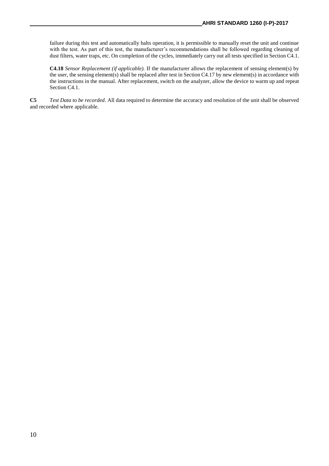failure during this test and automatically halts operation, it is permissible to manually reset the unit and continue with the test. As part of this test, the manufacturer's recommendations shall be followed regarding cleaning of dust filters, water traps, etc. On completion of the cycles, immediately carry out all tests specified in Section C4.1.

**C4.18** *Sensor Replacement (if applicable).* If the manufacturer allows the replacement of sensing element(s) by the user, the sensing element(s) shall be replaced after test in Section C4.17 by new element(s) in accordance with the instructions in the manual. After replacement, switch on the analyzer, allow the device to warm up and repeat Section C4.1.

**C5** *Test Data to be recorded*. All data required to determine the accuracy and resolution of the unit shall be observed and recorded where applicable.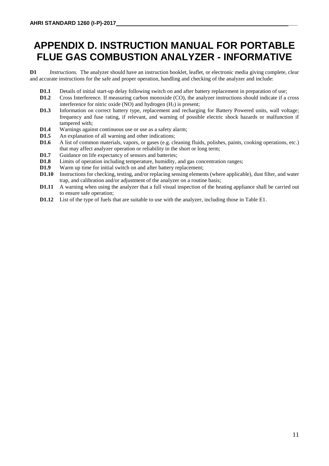# **APPENDIX D. INSTRUCTION MANUAL FOR PORTABLE FLUE GAS COMBUSTION ANALYZER - INFORMATIVE**

**D1** *Instructions.* The analyzer should have an instruction booklet, leaflet, or electronic media giving complete, clear and accurate instructions for the safe and proper operation, handling and checking of the analyzer and include:

- **D1.1** Details of initial start-up delay following switch on and after battery replacement in preparation of use;
- **D1.2** Cross Interference*.* If measuring carbon monoxide (CO), the analyzer instructions should indicate if a cross interference for nitric oxide (NO) and hydrogen  $(H<sub>2</sub>)$  is present;
- **D1.3** Information on correct battery type, replacement and recharging for Battery Powered units, wall voltage; frequency and fuse rating, if relevant, and warning of possible electric shock hazards or malfunction if tampered with;
- **D1.4** Warnings against continuous use or use as a safety alarm;<br>**D1.5** An explanation of all warning and other indications:
- **D1.5** An explanation of all warning and other indications;<br>**D1.6** A list of common materials, vapors, or gases (e.g. cl
- **D1.6** A list of common materials, vapors, or gases (e.g. cleaning fluids, polishes, paints, cooking operations, etc.) that may affect analyzer operation or reliability in the short or long term;
- **D1.7** Guidance on life expectancy of sensors and batteries;
- **D1.8** Limits of operation including temperature, humidity, and gas concentration ranges;
- **D1.9** Warm up time for initial switch on and after battery replacement:
- **D1.10** Instructions for checking, testing, and/or replacing sensing elements (where applicable), dust filter, and water trap, and calibration and/or adjustment of the analyzer on a routine basis;
- **D1.11** A warning when using the analyzer that a full visual inspection of the heating appliance shall be carried out to ensure safe operation;
- **D1.12** List of the type of fuels that are suitable to use with the analyzer, including those in Table E1.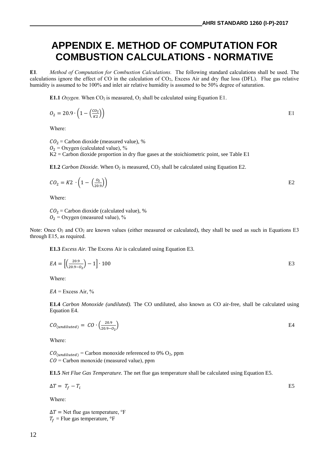### **APPENDIX E. METHOD OF COMPUTATION FOR COMBUSTION CALCULATIONS - NORMATIVE**

**E1***. Method of Computation for Combustion Calculations.* The following standard calculations shall be used. The calculations ignore the effect of CO in the calculation of  $CO<sub>2</sub>$ , Excess Air and dry flue loss (DFL). Flue gas relative humidity is assumed to be 100% and inlet air relative humidity is assumed to be 50% degree of saturation.

**E1.1** *Oxygen.* When  $CO_2$  is measured,  $O_2$  shall be calculated using Equation E1.

$$
O_2 = 20.9 \cdot \left(1 - \left(\frac{co_2}{\kappa_2}\right)\right)
$$
 E1

Where:

 $CO<sub>2</sub> =$  Carbon dioxide (measured value), %

 $O_2$  = Oxygen (calculated value), %

 $K2 =$  Carbon dioxide proportion in dry flue gases at the stoichiometric point, see Table E1

**E1.2** *Carbon Dioxide*. When  $O_2$  is measured,  $CO_2$  shall be calculated using Equation E2.

$$
CO_2 = K2 \cdot \left(1 - \left(\frac{O_2}{20.9}\right)\right) \tag{E2}
$$

Where:

 $CO<sub>2</sub> =$  Carbon dioxide (calculated value), %  $O_2$  = Oxygen (measured value), %

Note: Once  $O_2$  and  $CO_2$  are known values (either measured or calculated), they shall be used as such in Equations E3 through E15, as required.

**E1.3** *Excess Air.* The Excess Air is calculated using Equation E3.

$$
EA = \left[ \left( \frac{20.9}{20.9 - 0_2} \right) - 1 \right] \cdot 100
$$
 E3

Where:

 $EA =$  Excess Air, %

**E1.4** *Carbon Monoxide (undiluted).* The CO undiluted, also known as CO air-free, shall be calculated using Equation E4.

$$
CO_{(undiluted)} = CO \cdot \left(\frac{20.9}{20.9 - O_2}\right) \tag{E4}
$$

Where:

 $CO_{(undiluted)}$  = Carbon monoxide referenced to 0% O<sub>2</sub>, ppm  $CO =$  Carbon monoxide (measured value), ppm

**E1.5** *Net Flue Gas Temperature.* The net flue gas temperature shall be calculated using Equation E5.

 $\Delta T = T_f - T_i$  E5

Where:

 $\Delta T$  = Net flue gas temperature,  $\mathrm{P}F$  $T_f$  = Flue gas temperature,  $\degree$ F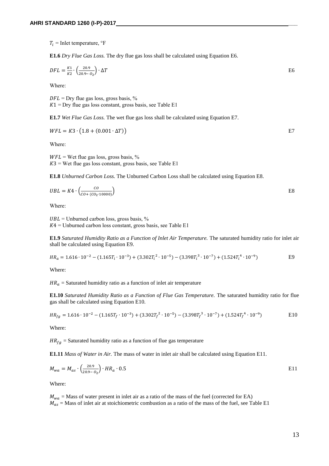$T_i$  = Inlet temperature,  $\textdegree$ F

**E1.6** *Dry Flue Gas Loss.* The dry flue gas loss shall be calculated using Equation E6.

$$
DFL = \frac{K1}{K2} \cdot \left(\frac{20.9}{20.9 - 0_2}\right) \cdot \Delta T
$$

Where:

 $DFL = \text{Dry flue gas loss, gross basis, %}$  $K1 = \text{Dry}$  flue gas loss constant, gross basis, see Table E1

**E1.7** *Wet Flue Gas Loss.* The wet flue gas loss shall be calculated using Equation E7.

 $WFL = K3 \cdot (1.8 + (0.001 \cdot \Delta T))$  E7

Where:

 $WFL =$  Wet flue gas loss, gross basis, %  $K3$  = Wet flue gas loss constant, gross basis, see Table E1

**E1.8** *Unburned Carbon Loss.* The Unburned Carbon Loss shall be calculated using Equation E8.

$$
UBL = K4 \cdot \left(\frac{co}{co + (co_2 \cdot 10000)}\right)
$$

Where:

 $UBL$  = Unburned carbon loss, gross basis, %  $K4 =$  Unburned carbon loss constant, gross basis, see Table E1

**E1.9** *Saturated Humidity Ratio as a Function of Inlet Air Temperature.* The saturated humidity ratio for inlet air shall be calculated using Equation E9.

$$
HR_a = 1.616 \cdot 10^{-2} - (1.165T_i \cdot 10^{-3}) + (3.302T_i^2 \cdot 10^{-5}) - (3.398T_i^3 \cdot 10^{-7}) + (1.524T_i^4 \cdot 10^{-9})
$$
 E9

Where:

 $HR_a =$  Saturated humidity ratio as a function of inlet air temperature

**E1.10** *Saturated Humidity Ratio as a Function of Flue Gas Temperature.* The saturated humidity ratio for flue gas shall be calculated using Equation E10.

$$
HR_{fg} = 1.616 \cdot 10^{-2} - (1.165T_f \cdot 10^{-3}) + (3.302T_f^2 \cdot 10^{-5}) - (3.398T_f^3 \cdot 10^{-7}) + (1.524T_f^4 \cdot 10^{-9})
$$
 E10

Where:

 $HR_{fa}$  = Saturated humidity ratio as a function of flue gas temperature

**E1.11** *Mass of Water in Air.* The mass of water in inlet air shall be calculated using Equation E11.

$$
M_{wa} = M_{as} \cdot \left(\frac{20.9}{20.9 - 0_2}\right) \cdot HR_a \cdot 0.5
$$
 E11

Where:

 $M_{wa}$  = Mass of water present in inlet air as a ratio of the mass of the fuel (corrected for EA)  $M_{qs}$  = Mass of inlet air at stoichiometric combustion as a ratio of the mass of the fuel, see Table E1